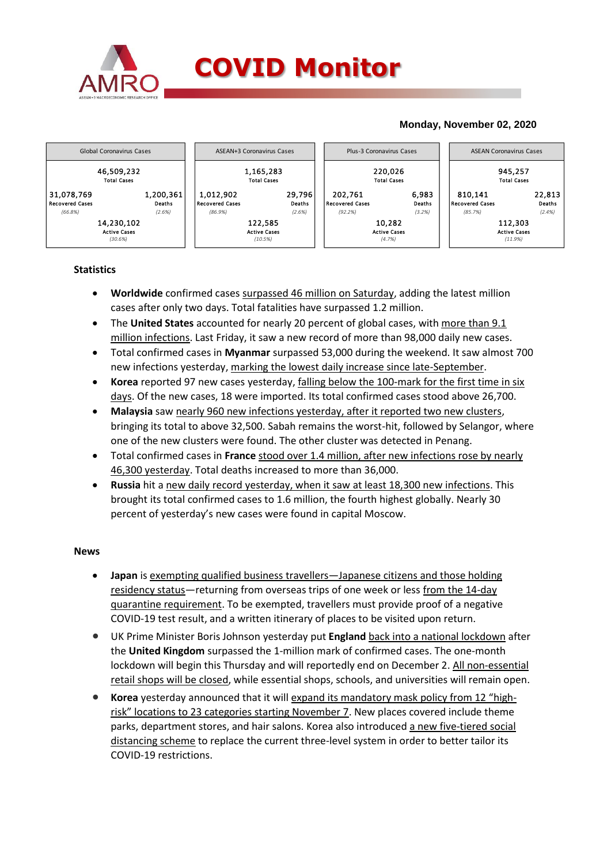

### **Monday, November 02, 2020**



## **Statistics**

- **Worldwide** confirmed cases surpassed 46 million on Saturday, adding the latest million cases after only two days. Total fatalities have surpassed 1.2 million.
- The **United States** accounted for nearly 20 percent of global cases, with more than 9.1 million infections. Last Friday, it saw a new record of more than 98,000 daily new cases.
- Total confirmed cases in **Myanmar** surpassed 53,000 during the weekend. It saw almost 700 new infections yesterday, marking the lowest daily increase since late-September.
- **Korea** reported 97 new cases yesterday, falling below the 100-mark for the first time in six days. Of the new cases, 18 were imported. Its total confirmed cases stood above 26,700.
- **Malaysia** saw nearly 960 new infections yesterday, after it reported two new clusters, bringing its total to above 32,500. Sabah remains the worst-hit, followed by Selangor, where one of the new clusters were found. The other cluster was detected in Penang.
- Total confirmed cases in **France** stood over 1.4 million, after new infections rose by nearly 46,300 yesterday. Total deaths increased to more than 36,000.
- **Russia** hit a new daily record yesterday, when it saw at least 18,300 new infections. This brought its total confirmed cases to 1.6 million, the fourth highest globally. Nearly 30 percent of yesterday's new cases were found in capital Moscow.

#### **News**

- **Japan** is exempting qualified business travellers—Japanese citizens and those holding residency status—returning from overseas trips of one week or less from the 14-day quarantine requirement. To be exempted, travellers must provide proof of a negative COVID-19 test result, and a written itinerary of places to be visited upon return.
- UK Prime Minister Boris Johnson yesterday put **England** back into a national lockdown after the **United Kingdom** surpassed the 1-million mark of confirmed cases. The one-month lockdown will begin this Thursday and will reportedly end on December 2. All non-essential retail shops will be closed, while essential shops, schools, and universities will remain open.
- **Korea** yesterday announced that it will expand its mandatory mask policy from 12 "highrisk" locations to 23 categories starting November 7. New places covered include theme parks, department stores, and hair salons. Korea also introduced a new five-tiered social distancing scheme to replace the current three-level system in order to better tailor its COVID-19 restrictions.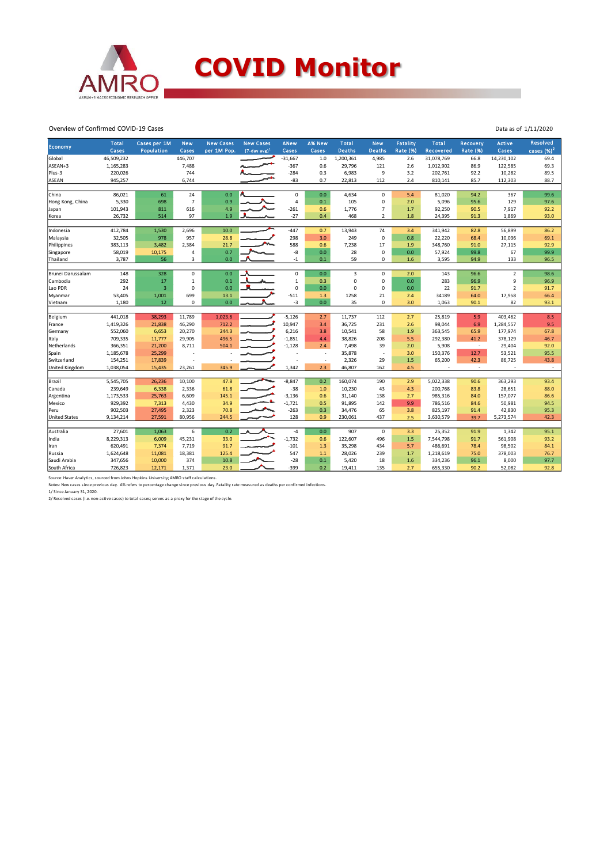

# **COVID Monitor**

Overview of Confirmed COVID-19 Cases

|                      | <b>Total</b> | Cases per 1M            | <b>New</b>     | <b>New Cases</b> | <b>New Cases</b>            | <b>ANew</b>    | ∆% New                   | <b>Total</b>  | <b>New</b>     | Fatality        | <b>Total</b>             | Recovery        | <b>Active</b>  | Resolved     |
|----------------------|--------------|-------------------------|----------------|------------------|-----------------------------|----------------|--------------------------|---------------|----------------|-----------------|--------------------------|-----------------|----------------|--------------|
| <b>Economy</b>       | Cases        | Population              | Cases          | per 1M Pop.      | $(7$ -day avg) <sup>1</sup> | Cases          | Cases                    | <b>Deaths</b> | <b>Deaths</b>  | <b>Rate (%)</b> | Recovered                | <b>Rate (%)</b> | Cases          | cases $(%)2$ |
| Global               | 46,509,232   |                         | 446,707        |                  |                             | $-31,667$      | $1.0$                    | 1,200,361     | 4,985          | 2.6             | 31,078,769               | 66.8            | 14,230,102     | 69.4         |
| ASEAN+3              | 1,165,283    |                         | 7,488          |                  |                             | $-367$         | 0.6                      | 29,796        | 121            | 2.6             | 1,012,902                | 86.9            | 122,585        | 69.3         |
| Plus-3               | 220,026      |                         | 744            |                  |                             | $-284$         | 0.3                      | 6,983         | 9              | 3.2             | 202,761                  | 92.2            | 10,282         | 89.5         |
| <b>ASEAN</b>         | 945,257      |                         | 6,744          |                  |                             | $-83$          | 0.7                      | 22,813        | 112            | 2.4             | 810,141                  | 85.7            | 112,303        | 88.7         |
|                      |              |                         |                |                  |                             |                |                          |               |                |                 |                          |                 |                |              |
| <b>China</b>         | 86,021       | 61                      | 24             | 0.0              |                             | $\mathbf 0$    | 0.0                      | 4,634         | $\mathbf 0$    | 5.4             | 81,020                   | 94.2            | 367            | 99.6         |
| Hong Kong, China     | 5,330        | 698                     | $\overline{7}$ | 0.9              |                             | $\overline{a}$ | 0.1                      | 105           | 0              | 2.0             | 5,096                    | 95.6            | 129            | 97.6         |
| Japan                | 101,943      | 811                     | 616            | 4.9              |                             | $-261$         | 0.6                      | 1,776         | $\overline{7}$ | 1.7             | 92,250                   | 90.5            | 7,917          | 92.2         |
| Korea                | 26,732       | 514                     | 97             | 1.9              |                             | $-27$          | 0.4                      | 468           | $\overline{2}$ | 1.8             | 24,395                   | 91.3            | 1,869          | 93.0         |
|                      |              |                         |                |                  |                             |                |                          |               |                |                 |                          |                 |                |              |
| Indonesia            | 412,784      | 1,530                   | 2,696          | 10.0             |                             | $-447$         | 0.7                      | 13,943        | 74             | 3.4             | 341,942                  | 82.8            | 56,899         | 86.2         |
| Malaysia             | 32,505       | 978                     | 957            | 28.8             |                             | 298            | 3.0                      | 249           | $\mathbf 0$    | 0.8             | 22,220                   | 68.4            | 10,036         | 69.1         |
| Philippines          | 383,113      | 3,482                   | 2,384          | 21.7             |                             | 588            | 0.6                      | 7,238         | 17             | 1.9             | 348,760                  | 91.0            | 27,115         | 92.9         |
| Singapore            | 58,019       | 10,175                  | 4              | 0.7              |                             | -8             | 0.0                      | 28            | 0              | 0.0             | 57,924                   | 99.8            | 67             | 99.9         |
| Thailand             | 3,787        | 56                      | 3              | 0.0              |                             | $-1$           | 0.1                      | 59            | 0              | 1.6             | 3,595                    | 94.9            | 133            | 96.5         |
| Brunei Darussalam    | 148          | 328                     | 0              | 0.0              |                             | $\mathbf 0$    | 0.0                      | 3             | 0              | 2.0             | 143                      | 96.6            | $\overline{2}$ | 98.6         |
| Cambodia             | 292          | 17                      | $\mathbf 1$    | 0.1              |                             | $\mathbf 1$    | 0.3                      | 0             | 0              | 0.0             | 283                      | 96.9            | 9              | 96.9         |
| Lao PDR              | 24           | $\overline{\mathbf{3}}$ | 0              | 0.0              |                             | $\Omega$       | 0.0                      | $\mathbf 0$   | $\Omega$       | 0.0             | 22                       | 91.7            | $\overline{2}$ | 91.7         |
| Myanmar              | 53,405       | 1,001                   | 699            | 13.1             |                             | $-511$         | 1.3                      | 1258          | 21             | 2.4             | 34189                    | 64.0            | 17,958         | 66.4         |
| Vietnam              | 1,180        | 12                      | 0              | 0.0              |                             | $-3$           | 0.0                      | 35            | 0              | 3.0             | 1,063                    | 90.1            | 82             | 93.1         |
|                      |              |                         |                |                  |                             |                |                          |               |                |                 |                          |                 |                |              |
| Belgium              | 441,018      | 38,293                  | 11,789         | 1,023.6          |                             | $-5,126$       | 2.7                      | 11,737        | 112            | 2.7             | 25,819                   | 5.9             | 403,462        | 8.5          |
| France               | 1,419,326    | 21,838                  | 46,290         | 712.2            |                             | 10,947         | 3.4                      | 36,725        | 231            | 2.6             | 98,044                   | 6.9             | 1,284,557      | 9.5          |
| Germany              | 552,060      | 6,653                   | 20,270         | 244.3            |                             | 6,216          | 3.8                      | 10,541        | 58             | 1.9             | 363,545                  | 65.9            | 177,974        | 67.8         |
| Italy                | 709,335      | 11,777                  | 29,905         | 496.5            |                             | $-1,851$       | 4.4                      | 38,826        | 208            | 5.5             | 292,380                  | 41.2            | 378,129        | 46.7         |
| Netherlands          | 366,351      | 21,200                  | 8,711          | 504.1            |                             | $-1,128$       | 2.4                      | 7,498         | 39             | 2.0             | 5,908                    | $\sim$          | 29,404         | 92.0         |
| Spain                | 1,185,678    | 25,299                  |                |                  |                             |                | $\overline{\phantom{a}}$ | 35,878        |                | 3.0             | 150,376                  | 12.7            | 53,521         | 95.5         |
| <b>Switzerland</b>   | 154,251      | 17,839                  |                |                  |                             |                | $\sim$                   | 2,326         | 29             | 1.5             | 65,200                   | 42.3            | 86,725         | 43.8         |
| United Kingdom       | 1,038,054    | 15,435                  | 23,261         | 345.9            |                             | 1,342          | 2.3                      | 46,807        | 162            | 4.5             | $\overline{\phantom{a}}$ | $\sim$          |                | $\sim$       |
|                      |              |                         |                |                  |                             |                |                          |               |                |                 |                          |                 |                |              |
| Brazil               | 5,545,705    | 26,236                  | 10,100         | 47.8             | ∽.                          | $-8,847$       | 0.2                      | 160,074       | 190            | 2.9             | 5,022,338                | 90.6            | 363,293        | 93.4         |
| Canada               | 239,649      | 6,338                   | 2,336          | 61.8             |                             | $-38$          | 1.0                      | 10,230        | 43             | 4.3             | 200,768                  | 83.8            | 28,651         | 88.0         |
| Argentina            | 1,173,533    | 25,763                  | 6,609          | 145.1            |                             | $-3,136$       | 0.6                      | 31,140        | 138            | 2.7             | 985,316                  | 84.0            | 157,077        | 86.6         |
| Mexico               | 929,392      | 7,313                   | 4,430          | 34.9             |                             | $-1,721$       | 0.5                      | 91,895        | 142            | 9.9             | 786,516                  | 84.6            | 50,981         | 94.5         |
| Peru                 | 902,503      | 27,495                  | 2,323          | 70.8             |                             | $-263$         | 0.3                      | 34,476        | 65             | 3.8             | 825,197                  | 91.4            | 42,830         | 95.3         |
| <b>United States</b> | 9,134,214    | 27,591                  | 80,956         | 244.5            |                             | 128            | 0.9                      | 230,061       | 437            | 2.5             | 3,630,579                | 39.7            | 5,273,574      | 42.3         |
|                      |              |                         |                |                  |                             |                |                          |               |                |                 |                          |                 |                |              |
| Australia            | 27,601       | 1,063                   | 6              | 0.2              |                             | $-4$           | 0.0                      | 907           | $\mathbf 0$    | 3.3             | 25,352                   | 91.9            | 1,342          | 95.1         |
| India                | 8,229,313    | 6,009                   | 45,231         | 33.0             |                             | $-1,732$       | 0.6                      | 122,607       | 496            | 1.5             | 7,544,798                | 91.7            | 561,908        | 93.2         |
| Iran                 | 620,491      | 7,374                   | 7,719          | 91.7             |                             | $-101$         | 1.3                      | 35,298        | 434            | 5.7             | 486,691                  | 78.4            | 98,502         | 84.1         |
| Russia               | 1,624,648    | 11,081                  | 18,381         | 125.4            |                             | 547            | 1.1                      | 28,026        | 239            | 1.7             | 1,218,619                | 75.0            | 378,003        | 76.7         |
| Saudi Arabia         | 347,656      | 10,000                  | 374            | 10.8             |                             | $-28$          | 0.1                      | 5,420         | 18             | 1.6             | 334,236                  | 96.1            | 8,000          | 97.7         |
| South Africa         | 726,823      | 12,171                  | 1,371          | 23.0             |                             | $-399$         | 0.2                      | 19,411        | 135            | 2.7             | 655,330                  | 90.2            | 52.082         | 92.8         |

Source: Haver Analytics, sourced from Johns Hopkins University; AMRO staff calculations.<br>Notes: New cases since previous day. ∆% refers to percentage change since previous day. Fatality rate measured as deaths per confirme

Data as of 1/11/2020